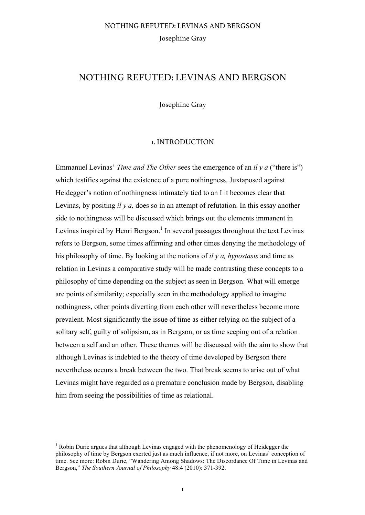## NOTHING REFUTED: LEVINAS AND BERGSON

Josephine Gray

#### 1. INTRODUCTION

Emmanuel Levinas' *Time and The Other* sees the emergence of an *il y a* ("there is") which testifies against the existence of a pure nothingness. Juxtaposed against Heidegger's notion of nothingness intimately tied to an I it becomes clear that Levinas, by positing *il y a,* does so in an attempt of refutation. In this essay another side to nothingness will be discussed which brings out the elements immanent in Levinas inspired by Henri Bergson.<sup>1</sup> In several passages throughout the text Levinas refers to Bergson, some times affirming and other times denying the methodology of his philosophy of time. By looking at the notions of *il y a, hypostasis* and time as relation in Levinas a comparative study will be made contrasting these concepts to a philosophy of time depending on the subject as seen in Bergson. What will emerge are points of similarity; especially seen in the methodology applied to imagine nothingness, other points diverting from each other will nevertheless become more prevalent. Most significantly the issue of time as either relying on the subject of a solitary self, guilty of solipsism, as in Bergson, or as time seeping out of a relation between a self and an other. These themes will be discussed with the aim to show that although Levinas is indebted to the theory of time developed by Bergson there nevertheless occurs a break between the two. That break seems to arise out of what Levinas might have regarded as a premature conclusion made by Bergson, disabling him from seeing the possibilities of time as relational.

<sup>&</sup>lt;sup>1</sup> Robin Durie argues that although Levinas engaged with the phenomenology of Heidegger the philosophy of time by Bergson exerted just as much influence, if not more, on Levinas' conception of time. See more: Robin Durie, "Wandering Among Shadows: The Discordance Of Time in Levinas and Bergson," *The Southern Journal of Philosophy* 48:4 (2010): 371-392.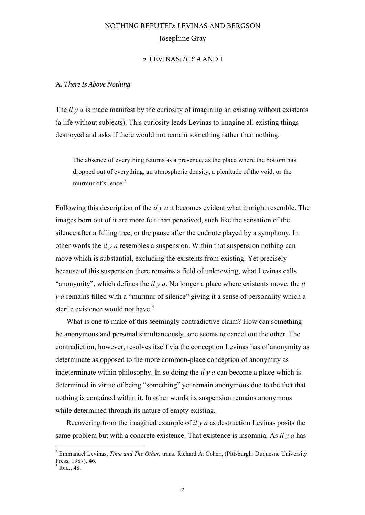### 2. LEVINAS: *IL Y A* AND I

#### A. *There Is Above Nothing*

The *il y a* is made manifest by the curiosity of imagining an existing without existents (a life without subjects). This curiosity leads Levinas to imagine all existing things destroyed and asks if there would not remain something rather than nothing.

The absence of everything returns as a presence, as the place where the bottom has dropped out of everything, an atmospheric density, a plenitude of the void, or the murmur of silence. $2$ 

Following this description of the *il y a* it becomes evident what it might resemble. The images born out of it are more felt than perceived, such like the sensation of the silence after a falling tree, or the pause after the endnote played by a symphony. In other words the i*l y a* resembles a suspension. Within that suspension nothing can move which is substantial, excluding the existents from existing. Yet precisely because of this suspension there remains a field of unknowing, what Levinas calls "anonymity", which defines the *il y a*. No longer a place where existents move, the *il y a* remains filled with a "murmur of silence" giving it a sense of personality which a sterile existence would not have.<sup>3</sup>

What is one to make of this seemingly contradictive claim? How can something be anonymous and personal simultaneously, one seems to cancel out the other. The contradiction, however, resolves itself via the conception Levinas has of anonymity as determinate as opposed to the more common-place conception of anonymity as indeterminate within philosophy. In so doing the *il y a* can become a place which is determined in virtue of being "something" yet remain anonymous due to the fact that nothing is contained within it. In other words its suspension remains anonymous while determined through its nature of empty existing.

Recovering from the imagined example of *il y a* as destruction Levinas posits the same problem but with a concrete existence. That existence is insomnia. As *il y a* has

 <sup>2</sup> Emmanuel Levinas, *Time and The Other,* trans. Richard A. Cohen, (Pittsburgh: Duquesne University Press, 1987), 46.

Ibid., 48.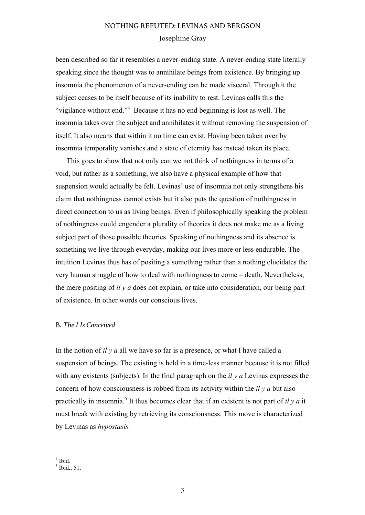been described so far it resembles a never-ending state. A never-ending state literally speaking since the thought was to annihilate beings from existence. By bringing up insomnia the phenomenon of a never-ending can be made visceral. Through it the subject ceases to be itself because of its inability to rest. Levinas calls this the "vigilance without end."<sup>4</sup> Because it has no end beginning is lost as well. The insomnia takes over the subject and annihilates it without removing the suspension of itself. It also means that within it no time can exist. Having been taken over by insomnia temporality vanishes and a state of eternity has instead taken its place.

This goes to show that not only can we not think of nothingness in terms of a void, but rather as a something, we also have a physical example of how that suspension would actually be felt. Levinas' use of insomnia not only strengthens his claim that nothingness cannot exists but it also puts the question of nothingness in direct connection to us as living beings. Even if philosophically speaking the problem of nothingness could engender a plurality of theories it does not make me as a living subject part of those possible theories. Speaking of nothingness and its absence is something we live through everyday, making our lives more or less endurable. The intuition Levinas thus has of positing a something rather than a nothing elucidates the very human struggle of how to deal with nothingness to come – death. Nevertheless, the mere positing of *il y a* does not explain, or take into consideration, our being part of existence. In other words our conscious lives.

### B. *The I Is Conceived*

In the notion of *il y a* all we have so far is a presence, or what I have called a suspension of beings. The existing is held in a time-less manner because it is not filled with any existents (subjects). In the final paragraph on the *il y a* Levinas expresses the concern of how consciousness is robbed from its activity within the *il y a* but also practically in insomnia.<sup>5</sup> It thus becomes clear that if an existent is not part of  $il$  y  $a$  it must break with existing by retrieving its consciousness. This move is characterized by Levinas as *hypostasis.* 

 $4$  Ibid.

 $<sup>5</sup>$  Ibid., 51.</sup>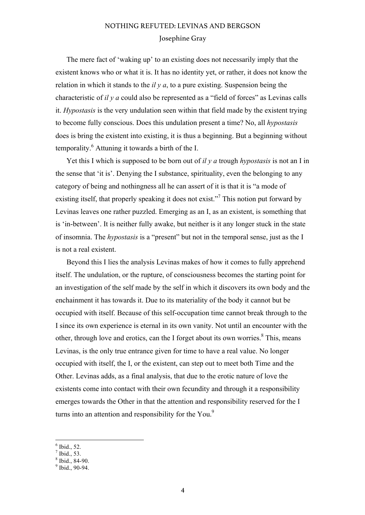The mere fact of 'waking up' to an existing does not necessarily imply that the existent knows who or what it is. It has no identity yet, or rather, it does not know the relation in which it stands to the *il y a*, to a pure existing. Suspension being the characteristic of *il y a* could also be represented as a "field of forces" as Levinas calls it. *Hypostasis* is the very undulation seen within that field made by the existent trying to become fully conscious. Does this undulation present a time? No, all *hypostasis* does is bring the existent into existing, it is thus a beginning. But a beginning without temporality.<sup>6</sup> Attuning it towards a birth of the I.

Yet this I which is supposed to be born out of *il y a* trough *hypostasis* is not an I in the sense that 'it is'. Denying the I substance, spirituality, even the belonging to any category of being and nothingness all he can assert of it is that it is "a mode of existing itself, that properly speaking it does not exist."<sup>7</sup> This notion put forward by Levinas leaves one rather puzzled. Emerging as an I, as an existent, is something that is 'in-between'. It is neither fully awake, but neither is it any longer stuck in the state of insomnia. The *hypostasis* is a "present" but not in the temporal sense, just as the I is not a real existent.

Beyond this I lies the analysis Levinas makes of how it comes to fully apprehend itself. The undulation, or the rupture, of consciousness becomes the starting point for an investigation of the self made by the self in which it discovers its own body and the enchainment it has towards it. Due to its materiality of the body it cannot but be occupied with itself. Because of this self-occupation time cannot break through to the I since its own experience is eternal in its own vanity. Not until an encounter with the other, through love and erotics, can the I forget about its own worries.<sup>8</sup> This, means Levinas, is the only true entrance given for time to have a real value. No longer occupied with itself, the I, or the existent, can step out to meet both Time and the Other. Levinas adds, as a final analysis, that due to the erotic nature of love the existents come into contact with their own fecundity and through it a responsibility emerges towards the Other in that the attention and responsibility reserved for the I turns into an attention and responsibility for the You.<sup>9</sup>

- $\frac{6}{6}$  Ibid., 52.
- $<sup>7</sup>$  Ibid., 53.</sup>

 $\frac{8}{9}$  Ibid., 84-90.<br> $\frac{9}{9}$  Ibid., 90-94.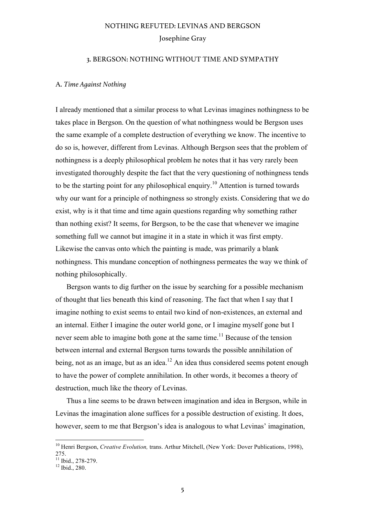#### 3. BERGSON: NOTHING WITHOUT TIME AND SYMPATHY

#### A. *Time Against Nothing*

I already mentioned that a similar process to what Levinas imagines nothingness to be takes place in Bergson. On the question of what nothingness would be Bergson uses the same example of a complete destruction of everything we know. The incentive to do so is, however, different from Levinas. Although Bergson sees that the problem of nothingness is a deeply philosophical problem he notes that it has very rarely been investigated thoroughly despite the fact that the very questioning of nothingness tends to be the starting point for any philosophical enquiry.<sup>10</sup> Attention is turned towards why our want for a principle of nothingness so strongly exists. Considering that we do exist, why is it that time and time again questions regarding why something rather than nothing exist? It seems, for Bergson, to be the case that whenever we imagine something full we cannot but imagine it in a state in which it was first empty. Likewise the canvas onto which the painting is made, was primarily a blank nothingness. This mundane conception of nothingness permeates the way we think of nothing philosophically.

Bergson wants to dig further on the issue by searching for a possible mechanism of thought that lies beneath this kind of reasoning. The fact that when I say that I imagine nothing to exist seems to entail two kind of non-existences, an external and an internal. Either I imagine the outer world gone, or I imagine myself gone but I never seem able to imagine both gone at the same time.<sup>11</sup> Because of the tension between internal and external Bergson turns towards the possible annihilation of being, not as an image, but as an idea.<sup>12</sup> An idea thus considered seems potent enough to have the power of complete annihilation. In other words, it becomes a theory of destruction, much like the theory of Levinas.

Thus a line seems to be drawn between imagination and idea in Bergson, while in Levinas the imagination alone suffices for a possible destruction of existing. It does, however, seem to me that Bergson's idea is analogous to what Levinas' imagination,

<sup>&</sup>lt;sup>10</sup> Henri Bergson, *Creative Evolution*, *trans. Arthur Mitchell*, (New York: Dover Publications, 1998), 275.

 $^{11}_{11}$  Ibid., 278-279.<br> $^{12}$  Ibid., 280.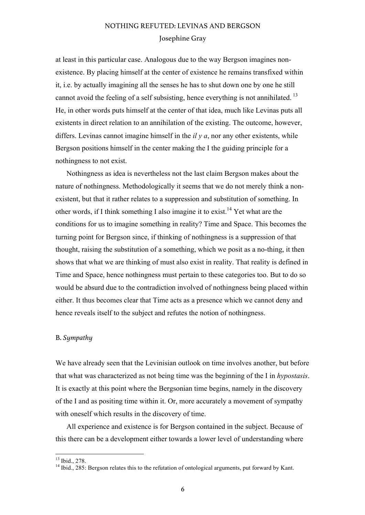at least in this particular case. Analogous due to the way Bergson imagines nonexistence. By placing himself at the center of existence he remains transfixed within it, i.e. by actually imagining all the senses he has to shut down one by one he still cannot avoid the feeling of a self subsisting, hence everything is not annihilated.<sup>13</sup> He, in other words puts himself at the center of that idea, much like Levinas puts all existents in direct relation to an annihilation of the existing. The outcome, however, differs. Levinas cannot imagine himself in the *il y a*, nor any other existents, while Bergson positions himself in the center making the I the guiding principle for a nothingness to not exist.

Nothingness as idea is nevertheless not the last claim Bergson makes about the nature of nothingness. Methodologically it seems that we do not merely think a nonexistent, but that it rather relates to a suppression and substitution of something. In other words, if I think something I also imagine it to exist.<sup>14</sup> Yet what are the conditions for us to imagine something in reality? Time and Space. This becomes the turning point for Bergson since, if thinking of nothingness is a suppression of that thought, raising the substitution of a something, which we posit as a no-thing, it then shows that what we are thinking of must also exist in reality. That reality is defined in Time and Space, hence nothingness must pertain to these categories too. But to do so would be absurd due to the contradiction involved of nothingness being placed within either. It thus becomes clear that Time acts as a presence which we cannot deny and hence reveals itself to the subject and refutes the notion of nothingness.

### B. *Sympathy*

We have already seen that the Levinisian outlook on time involves another, but before that what was characterized as not being time was the beginning of the I in *hypostasis*. It is exactly at this point where the Bergsonian time begins, namely in the discovery of the I and as positing time within it. Or, more accurately a movement of sympathy with oneself which results in the discovery of time.

All experience and existence is for Bergson contained in the subject. Because of this there can be a development either towards a lower level of understanding where

<sup>&</sup>lt;sup>13</sup> Ibid., 278.<br><sup>14</sup> Ibid., 285: Bergson relates this to the refutation of ontological arguments, put forward by Kant.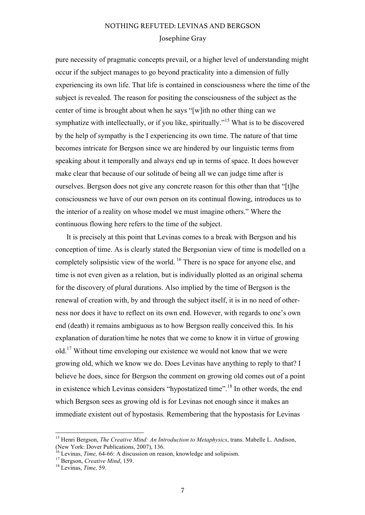pure necessity of pragmatic concepts prevail, or a higher level of understanding might occur if the subject manages to go beyond practicality into a dimension of fully experiencing its own life. That life is contained in consciousness where the time of the subject is revealed. The reason for positing the consciousness of the subject as the center of time is brought about when he says "[w]ith no other thing can we symphatize with intellectually, or if you like, spiritually.<sup>"15</sup> What is to be discovered by the help of sympathy is the I experiencing its own time. The nature of that time becomes intricate for Bergson since we are hindered by our linguistic terms from speaking about it temporally and always end up in terms of space. It does however make clear that because of our solitude of being all we can judge time after is ourselves. Bergson does not give any concrete reason for this other than that "[t]he consciousness we have of our own person on its continual flowing, introduces us to the interior of a reality on whose model we must imagine others." Where the continuous flowing here refers to the time of the subject.

It is precisely at this point that Levinas comes to a break with Bergson and his conception of time. As is clearly stated the Bergsonian view of time is modelled on a completely solipsistic view of the world. <sup>16</sup> There is no space for anyone else, and time is not even given as a relation, but is individually plotted as an original schema for the discovery of plural durations. Also implied by the time of Bergson is the renewal of creation with, by and through the subject itself, it is in no need of otherness nor does it have to reflect on its own end. However, with regards to one's own end (death) it remains ambiguous as to how Bergson really conceived this. In his explanation of duration/time he notes that we come to know it in virtue of growing old.<sup>17</sup> Without time enveloping our existence we would not know that we were growing old, which we know we do. Does Levinas have anything to reply to that? I believe he does, since for Bergson the comment on growing old comes out of a point in existence which Levinas considers "hypostatized time".<sup>18</sup> In other words, the end which Bergson sees as growing old is for Levinas not enough since it makes an immediate existent out of hypostasis. Remembering that the hypostasis for Levinas

 <sup>15</sup> Henri Bergson, *The Creative Mind: An Introduction to Metaphysics*, trans. Mabelle L. Andison, (New York: Dover Publications, 2007), 136.

<sup>&</sup>lt;sup>16</sup> Levinas, *Time,* 64-66: A discussion on reason, knowledge and solipsism.<br><sup>17</sup> Bergson, *Creative Mind*, 159.<br><sup>18</sup> Levinas, *Time*, 59.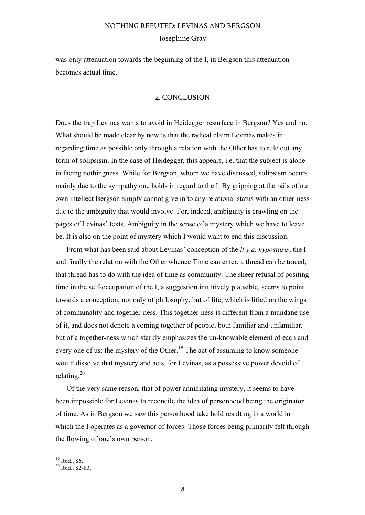was only attenuation towards the beginning of the I, in Bergson this attenuation becomes actual time.

### 4. CONCLUSION

Does the trap Levinas wants to avoid in Heidegger resurface in Bergson? Yes and no. What should be made clear by now is that the radical claim Levinas makes in regarding time as possible only through a relation with the Other has to rule out any form of solipsism. In the case of Heidegger, this appears, i.e. that the subject is alone in facing nothingness. While for Bergson, whom we have discussed, solipsism occurs mainly due to the sympathy one holds in regard to the I. By gripping at the rails of our own intellect Bergson simply cannot give in to any relational status with an other-ness due to the ambiguity that would involve. For, indeed, ambiguity is crawling on the pages of Levinas' texts. Ambiguity in the sense of a mystery which we have to leave be. It is also on the point of mystery which I would want to end this discussion.

From what has been said about Levinas' conception of the *il y a, hypostasis*, the I and finally the relation with the Other whence Time can enter, a thread can be traced, that thread has to do with the idea of time as community. The sheer refusal of positing time in the self-occupation of the I, a suggestion intuitively plausible, seems to point towards a conception, not only of philosophy, but of life, which is lifted on the wings of communality and together-ness. This together-ness is different from a mundane use of it, and does not denote a coming together of people, both familiar and unfamiliar, but of a together-ness which starkly emphasizes the un-knowable element of each and every one of us: the mystery of the Other.<sup>19</sup> The act of assuming to know someone would dissolve that mystery and acts, for Levinas, as a possessive power devoid of relating. $^{20}$ 

Of the very same reason, that of power annihilating mystery, it seems to have been impossible for Levinas to reconcile the idea of personhood being the originator of time. As in Bergson we saw this personhood take hold resulting in a world in which the I operates as a governor of forces. Those forces being primarily felt through the flowing of one's own person.

 $\frac{19}{20}$  Ibid., 86.<br> $\frac{20}{20}$  Ibid., 82-83.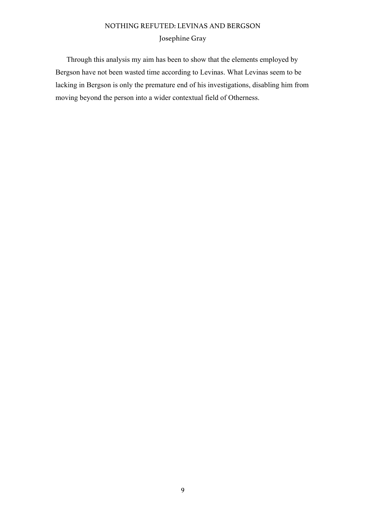Through this analysis my aim has been to show that the elements employed by Bergson have not been wasted time according to Levinas. What Levinas seem to be lacking in Bergson is only the premature end of his investigations, disabling him from moving beyond the person into a wider contextual field of Otherness.